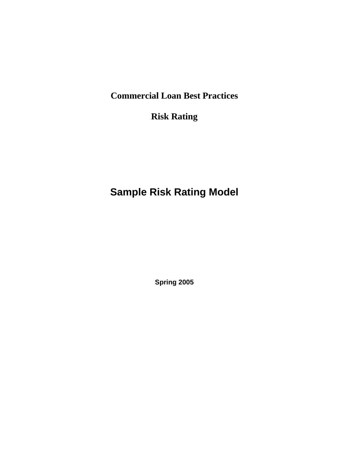**Commercial Loan Best Practices** 

**Risk Rating** 

# **Sample Risk Rating Model**

**Spring 2005**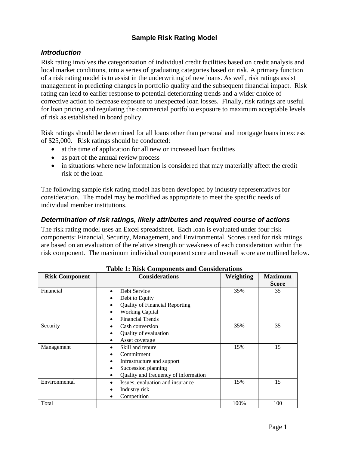## **Sample Risk Rating Model**

#### *Introduction*

Risk rating involves the categorization of individual credit facilities based on credit analysis and local market conditions, into a series of graduating categories based on risk. A primary function of a risk rating model is to assist in the underwriting of new loans. As well, risk ratings assist management in predicting changes in portfolio quality and the subsequent financial impact. Risk rating can lead to earlier response to potential deteriorating trends and a wider choice of corrective action to decrease exposure to unexpected loan losses. Finally, risk ratings are useful for loan pricing and regulating the commercial portfolio exposure to maximum acceptable levels of risk as established in board policy.

Risk ratings should be determined for all loans other than personal and mortgage loans in excess of \$25,000. Risk ratings should be conducted:

- at the time of application for all new or increased loan facilities
- as part of the annual review process
- in situations where new information is considered that may materially affect the credit risk of the loan

The following sample risk rating model has been developed by industry representatives for consideration. The model may be modified as appropriate to meet the specific needs of individual member institutions.

#### *Determination of risk ratings, likely attributes and required course of actions*

The risk rating model uses an Excel spreadsheet. Each loan is evaluated under four risk components: Financial, Security, Management, and Environmental. Scores used for risk ratings are based on an evaluation of the relative strength or weakness of each consideration within the risk component. The maximum individual component score and overall score are outlined below.

| <b>Risk Component</b> | тамс т. квя сопіроненія ана сопятенатопя<br><b>Considerations</b> | Weighting | <b>Maximum</b> |
|-----------------------|-------------------------------------------------------------------|-----------|----------------|
|                       |                                                                   |           | <b>Score</b>   |
| Financial             | Debt Service                                                      | 35%       | 35             |
|                       | Debt to Equity                                                    |           |                |
|                       | <b>Quality of Financial Reporting</b>                             |           |                |
|                       | <b>Working Capital</b>                                            |           |                |
|                       | <b>Financial Trends</b>                                           |           |                |
| Security              | Cash conversion                                                   | 35%       | 35             |
|                       | Quality of evaluation                                             |           |                |
|                       | Asset coverage                                                    |           |                |
| Management            | Skill and tenure                                                  | 15%       | 15             |
|                       | Commitment                                                        |           |                |
|                       | Infrastructure and support                                        |           |                |
|                       | Succession planning                                               |           |                |
|                       | Quality and frequency of information                              |           |                |
| Environmental         | Issues, evaluation and insurance                                  | 15%       | 15             |
|                       | Industry risk                                                     |           |                |
|                       | Competition                                                       |           |                |
| Total                 |                                                                   | 100%      | 100            |

**Table 1: Risk Components and Considerations**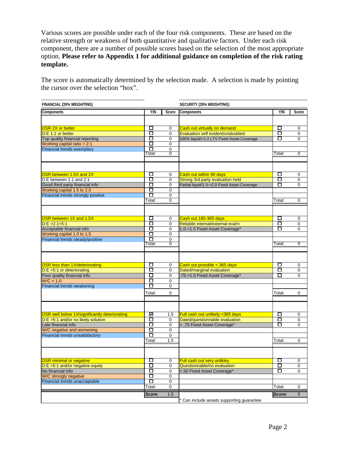Various scores are possible under each of the four risk components. These are based on the relative strength or weakness of both quantitative and qualitative factors. Under each risk component, there are a number of possible scores based on the selection of the most appropriate option. **Please refer to Appendix 1 for additional guidance on completion of the risk rating template.**

The score is automatically determined by the selection made. A selection is made by pointing the cursor over the selection "box".

| FINANCIAL (35% WEIGHTING)                            |                   |                             | SECURITY (35% WEIGHTING)                     |                   |                |
|------------------------------------------------------|-------------------|-----------------------------|----------------------------------------------|-------------------|----------------|
| Components                                           | Y/N               | Score                       | Components                                   | <b>Y/N</b>        | Score          |
|                                                      |                   |                             |                                              |                   |                |
|                                                      |                   |                             |                                              |                   |                |
| <b>DSR 2X or better</b>                              | □                 | $\mathbf 0$                 | Cash out virtually on demand                 | □                 | 0              |
| D:E 1:1 or better                                    | $\Box$            | $\Omega$                    | Evaluation self evident/undoubted            | □                 | $\mathbf 0$    |
| Top quality financial reporting                      | О                 | $\mathbf 0$                 | 100% liquid/<1:2 LTV Fixed Asset Coverage    | □                 | $\Omega$       |
| Working capital ratio > 2:1                          | □                 | $\mathbf 0$                 |                                              |                   |                |
| Financial trends exemplary                           | □<br>otal:        | $\pmb{0}$<br>$\overline{0}$ |                                              |                   | $\overline{0}$ |
|                                                      |                   |                             |                                              | Total:            |                |
|                                                      |                   |                             |                                              |                   |                |
|                                                      |                   |                             |                                              |                   |                |
| <b>DSR between 1.5X and 2X</b>                       | □                 | $\mathbf 0$                 | Cash out within 90 days                      | □                 | 0              |
| D:E between 1:1 and 2:1                              | Π                 | $\mathbf 0$                 | Strong 3rd party evaluation held             | □                 | $\mathbf 0$    |
| Good third party financial info                      | О                 | $\mathbf 0$                 | Partial liquid/1.5->2.0 Fixed Asset Coverage | □                 | $\mathbf 0$    |
| Working capital 1.5 to 2.0                           | □                 | $\mathbf 0$                 |                                              |                   |                |
| Financial trends strongly positive                   | О                 | $\mathbf 0$                 |                                              |                   |                |
|                                                      | Total:            | $\Omega$                    |                                              | Total:            | $\mathbf 0$    |
|                                                      |                   |                             |                                              |                   |                |
|                                                      |                   |                             |                                              |                   |                |
| DSR between 1X and 1.5X                              | □                 | $\mathbf 0$                 | Cash out 180-365 days                        | □                 | 0              |
| D: E > 2:1 < 5:1                                     | □                 | $\mathbf 0$                 | Reliable internal/external eval'n            | □                 | 0              |
| Acceptable financial info                            | О                 | $\mathbf 0$                 | 1.0->1.5 Fixed Asset Coverage*               | □                 | $\mathbf 0$    |
| Working capital 1.0 to 1.5                           | □                 | $\mathbf 0$                 |                                              |                   |                |
| Financial trends steady/positive                     | О<br>⊺otal:       | $\mathbf 0$<br>0            |                                              | Total:            | 0              |
|                                                      |                   |                             |                                              |                   |                |
|                                                      |                   |                             |                                              |                   |                |
|                                                      |                   |                             |                                              |                   |                |
| <b>DSR less than 1X/deteriorating</b>                | □<br>О            | 0                           | Cash out possible < 365 days                 | □<br>О            | 0              |
| $D: E > 5:1$ or deteriorating                        |                   | $\mathbf 0$                 | Dated/marginal evaluation                    | П                 | $\mathbf 0$    |
| Poor quality financial info                          | □<br>□            | $\mathbf 0$                 | .75->1.0 Fixed Asset Coverage*               |                   | 0              |
| W/C < 1.0                                            | П                 | $\mathbf 0$                 |                                              |                   |                |
| Financial trends weakening                           |                   | $\overline{0}$              |                                              |                   |                |
|                                                      | Total:            | $\mathbf 0$                 |                                              | Total:            | 0              |
|                                                      |                   |                             |                                              |                   |                |
|                                                      |                   |                             |                                              |                   |                |
| <b>DSR well below 1X/significantly deteriorating</b> | ☑                 | 1.5                         | Full cash out unlikely <365 days             | □                 | $\mathbf 0$    |
| D:E >5:1 and/or no likely solution                   | □                 | 0                           | Dated/questionnable evaluation               | □                 | $\mathbf 0$    |
| Late financial info                                  | □                 | $\mathbf 0$                 | < .75 Fixed Asset Coverage*                  | □                 | $\mathbf 0$    |
| W/C negative and worsening                           | □                 | $\mathbf 0$                 |                                              |                   |                |
| Financial trends unsatisfactory                      | □                 | $\mathbf 0$                 |                                              |                   |                |
|                                                      | Total:            | 1.5                         |                                              | Total:            | 0              |
|                                                      |                   |                             |                                              |                   |                |
|                                                      |                   |                             |                                              |                   |                |
| <b>DSR</b> minimal or negative                       | □                 | $\mathbf 0$                 | Full cash out very unlikley                  | □                 | 0              |
| D:E >5:1 and/or negative equity                      | $\overline{\Box}$ | $\mathbf 0$                 | Questionnable/no evaluation                  | $\overline{\Box}$ | 0              |
| No financial info                                    | $\overline{\Box}$ | $\mathbf 0$                 | <.50 Fixed Asset Coverage*                   | ◻                 | 0              |
| W/C strongly negative                                | $\overline{\Box}$ | $\mathbf 0$                 |                                              |                   |                |
| Financial trends unacceptable                        | □                 | $\pmb{0}$                   |                                              |                   |                |
|                                                      | Total:            | 0                           |                                              | Total:            | 0              |
|                                                      | Score:            | 1.5                         |                                              | Score:            | $\pmb{0}$      |
|                                                      |                   |                             | Can include assets supporting guarantee      |                   |                |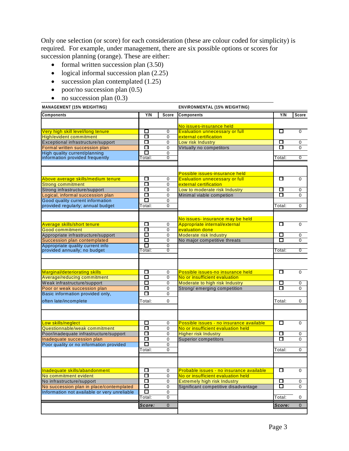Only one selection (or score) for each consideration (these are colour coded for simplicity) is required. For example, under management, there are six possible options or scores for succession planning (orange). These are either:

- formal written succession plan  $(3.50)$
- logical informal succession plan  $(2.25)$
- succession plan contemplated (1.25)
- poor/no succession plan  $(0.5)$
- $\bullet$  no succession plan (0.3)

| <b>MANAGEMENT (15% WEIGHTING)</b>                                                                                                                                                                      | ENVIRONMENTAL (15% WEIGHTING)   |                            |                                                                                                                                                                |                            |                                                |
|--------------------------------------------------------------------------------------------------------------------------------------------------------------------------------------------------------|---------------------------------|----------------------------|----------------------------------------------------------------------------------------------------------------------------------------------------------------|----------------------------|------------------------------------------------|
| Components                                                                                                                                                                                             | Y/N                             | Score                      | Components                                                                                                                                                     | Y/N                        | Score                                          |
| Very high skill level/long tenure<br>High/evident commitment                                                                                                                                           | □<br>□                          | 0<br>0                     | No issues-insurance held<br><b>Evaluation unnecessary or full</b><br>external certification                                                                    | □                          | $\mathbf 0$                                    |
| Exceptional infrastructure/support<br>Formal written succession plan<br>High quality current/planning<br>information provided frequently                                                               | □<br>□<br>П<br>otal:            | 0<br>0<br>0<br>0           | Low risk Industry<br>Virtually no competitors                                                                                                                  | □<br>$\Box$<br>Total:      | 0<br>$\mathbf 0$<br>$\overline{0}$             |
| Above average skills/medium tenure<br><b>Strong commitment</b><br>Strong infrastructure/support<br>Logical, informal succession plan                                                                   | □<br>□<br>□<br>□                | 0<br>0<br>0<br>0           | Possible issues-insurance held<br><b>Evaluation unnecessary or full</b><br>external certification<br>Low to moderate risk Industry<br>Minimal viable competion | □<br>□<br>Π                | $\mathbf 0$<br>$\mathbf 0$<br>$\Omega$         |
| Good quality current information<br>provided regularly; annual budget                                                                                                                                  | □<br>Total:                     | 0<br>0                     |                                                                                                                                                                | Total:                     | 0                                              |
| <b>Average skills/short tenure</b><br><b>Good commitment</b><br>Appropriate infrastructure/support<br>Succession plan contemplated<br>Appropriate quality current info<br>provided annually; no budget | □<br>□<br>□<br>□<br>□<br>Total: | 0<br>0<br>0<br>0<br>0<br>0 | No issues- insurance may be held<br>Appropriate internal/external<br>evaluation done<br>Moderate risk Industry<br>No major competitive threats                 | □<br>□<br>П<br>Total:      | $\mathbf 0$<br>0<br>$\Omega$<br>$\overline{0}$ |
| Marginal/deteriorating skills<br>Average/reducing commitment<br>Weak infrastructure/support<br>Poor or weak succession plan<br>Basic information provided only,<br>often late/incomplete               | □<br>□<br>□<br>□<br>□<br>Total: | 0<br>0<br>0<br>0<br>0<br>0 | Possible issues-no insurance held<br>No or insufficient evaluation<br>Moderate to high risk Industry<br>Strong/ emerging competition                           | □<br>□<br>□<br>Total:      | $\mathbf 0$<br>0<br>$\mathbf 0$<br>0           |
| Low skills/neglect<br>Questionnable/weak commitment<br>Poor/inadequate infrastructure/support<br>Inadequate succession plan<br>Poor quality or no information provided                                 | □<br>□<br>□<br>□<br>О<br>Total: | 0<br>0<br>0<br>0<br>0<br>0 | Possible issues - no insurance available<br>No or insufficient evaluation held<br><b>Higher risk Industry</b><br><b>Superior competitors</b>                   | □<br>□<br>□<br>Total:      | $\mathbf 0$<br>0<br>$\mathbf 0$<br>$\mathbf 0$ |
| Inadequate skills/abandonment<br>No commitment evident<br>No infrastructure/support<br>No succession plan in place/contemplated<br>Information not available or very unreliable                        | □<br>□<br>О<br>Ω<br>□<br>Total: | 0<br>0<br>0<br>0<br>0<br>0 | Probable issues - no insurance available<br>No or insufficient evaluation held<br><b>Extremely high risk Industry</b><br>Significant competitive disadvantage  | □<br>$\Box$<br>□<br>Total: | $\mathbf 0$<br>$\pmb{0}$<br>0<br>0             |
|                                                                                                                                                                                                        | Score:                          | $\mathbf 0$                |                                                                                                                                                                | Score:                     | $\mathbf 0$                                    |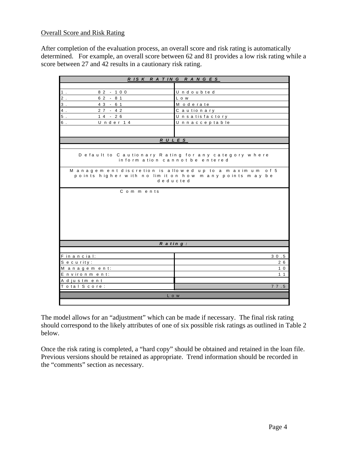#### Overall Score and Risk Rating

After completion of the evaluation process, an overall score and risk rating is automatically determined. For example, an overall score between 62 and 81 provides a low risk rating while a score between 27 and 42 results in a cautionary risk rating.

| RISK RATING RANGES                                                                                                         |                  |  |  |  |  |  |  |
|----------------------------------------------------------------------------------------------------------------------------|------------------|--|--|--|--|--|--|
|                                                                                                                            |                  |  |  |  |  |  |  |
| 1.<br>$82 - 100$                                                                                                           | Undoubted        |  |  |  |  |  |  |
| $2$ .<br>$62 - 81$                                                                                                         | L o w            |  |  |  |  |  |  |
| $3$ .<br>$43 - 61$                                                                                                         | M oderate        |  |  |  |  |  |  |
| $4$ .<br>$27 - 42$                                                                                                         | C a u tio n a ry |  |  |  |  |  |  |
| $5$ .<br>$14 - 26$                                                                                                         | Unsatisfactory   |  |  |  |  |  |  |
| 6.<br>Under 14                                                                                                             | Unnacceptable    |  |  |  |  |  |  |
|                                                                                                                            |                  |  |  |  |  |  |  |
| RULES                                                                                                                      |                  |  |  |  |  |  |  |
|                                                                                                                            |                  |  |  |  |  |  |  |
| Default to Cautionary Rating for any category where<br>inform ation cannot be entered                                      |                  |  |  |  |  |  |  |
| Management discretion is allowed up to a maximum of 5<br>points higher with no limit on how many points may be<br>deducted |                  |  |  |  |  |  |  |
| Comments                                                                                                                   |                  |  |  |  |  |  |  |
|                                                                                                                            |                  |  |  |  |  |  |  |
|                                                                                                                            |                  |  |  |  |  |  |  |
|                                                                                                                            |                  |  |  |  |  |  |  |
|                                                                                                                            |                  |  |  |  |  |  |  |
|                                                                                                                            |                  |  |  |  |  |  |  |
| $R$ ating:                                                                                                                 |                  |  |  |  |  |  |  |
|                                                                                                                            |                  |  |  |  |  |  |  |
| Financial:                                                                                                                 | 30.5             |  |  |  |  |  |  |
| Security:                                                                                                                  | 26               |  |  |  |  |  |  |
| Management:                                                                                                                | 1 <sub>0</sub>   |  |  |  |  |  |  |
| Environment:                                                                                                               | $1 \t1$          |  |  |  |  |  |  |
| A d justment                                                                                                               |                  |  |  |  |  |  |  |
| Total Score:                                                                                                               | 77.5             |  |  |  |  |  |  |
|                                                                                                                            | L o w            |  |  |  |  |  |  |
|                                                                                                                            |                  |  |  |  |  |  |  |

The model allows for an "adjustment" which can be made if necessary. The final risk rating should correspond to the likely attributes of one of six possible risk ratings as outlined in Table 2 below.

Once the risk rating is completed, a "hard copy" should be obtained and retained in the loan file. Previous versions should be retained as appropriate. Trend information should be recorded in the "comments" section as necessary.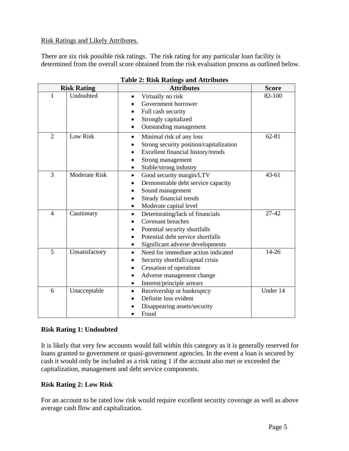#### Risk Ratings and Likely Attributes.

There are six risk possible risk ratings. The risk rating for any particular loan facility is determined from the overall score obtained from the risk evaluation process as outlined below.

| <b>Risk Rating</b> |                | <b>Attributes</b>                                | <b>Score</b> |
|--------------------|----------------|--------------------------------------------------|--------------|
| 1                  | Undoubted      | Virtually no risk<br>$\bullet$                   | 82-100       |
|                    |                | Government borrower                              |              |
|                    |                | Full cash security<br>$\bullet$                  |              |
|                    |                | Strongly capitalized                             |              |
|                    |                | Outstanding management                           |              |
| $\overline{2}$     | Low Risk       | Minimal risk of any loss<br>$\bullet$            | 62-81        |
|                    |                | Strong security position/capitalization          |              |
|                    |                | Excellent financial history/trends               |              |
|                    |                | Strong management                                |              |
|                    |                | Stable/strong industry                           |              |
| 3                  | Moderate Risk  | Good security margin/LTV<br>$\bullet$            | $43 - 61$    |
|                    |                | Demonstrable debt service capacity               |              |
|                    |                | Sound management                                 |              |
|                    |                | Steady financial trends                          |              |
|                    |                | Moderate capital level<br>$\bullet$              |              |
| $\overline{4}$     | Cautionary     | Deteriorating/lack of financials<br>$\bullet$    | 27-42        |
|                    |                | Covenant breaches                                |              |
|                    |                | Potential security shortfalls<br>$\bullet$       |              |
|                    |                | Potential debt service shortfalls                |              |
|                    |                | Significant adverse developments<br>٠            |              |
| 5                  | Unsatisfactory | Need for immediate action indicated<br>$\bullet$ | 14-26        |
|                    |                | Security shortfall/capital crisis                |              |
|                    |                | <b>Cessation of operations</b>                   |              |
|                    |                | Adverse management change                        |              |
|                    |                | Interest/principle arrears<br>$\bullet$          |              |
| 6                  | Unacceptable   | Receivership or bankruptcy<br>$\bullet$          | Under 14     |
|                    |                | Definite loss evident                            |              |
|                    |                | Disappearing assets/security                     |              |
|                    |                | Fraud                                            |              |

#### **Table 2: Risk Ratings and Attributes**

#### **Risk Rating 1: Undoubted**

It is likely that very few accounts would fall within this category as it is generally reserved for loans granted to government or quasi-government agencies. In the event a loan is secured by cash it would only be included as a risk rating 1 if the account also met or exceeded the capitalization, management and debt service components.

#### **Risk Rating 2: Low Risk**

For an account to be rated low risk would require excellent security coverage as well as above average cash flow and capitalization.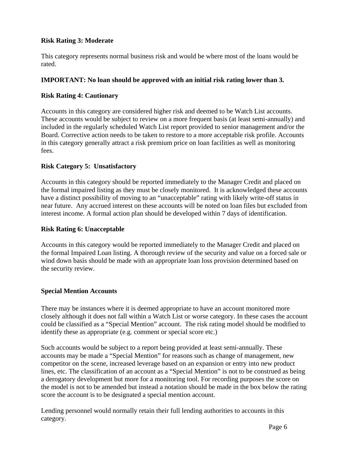#### **Risk Rating 3: Moderate**

This category represents normal business risk and would be where most of the loans would be rated.

#### **IMPORTANT: No loan should be approved with an initial risk rating lower than 3.**

#### **Risk Rating 4: Cautionary**

Accounts in this category are considered higher risk and deemed to be Watch List accounts. These accounts would be subject to review on a more frequent basis (at least semi-annually) and included in the regularly scheduled Watch List report provided to senior management and/or the Board. Corrective action needs to be taken to restore to a more acceptable risk profile. Accounts in this category generally attract a risk premium price on loan facilities as well as monitoring fees.

#### **Risk Category 5: Unsatisfactory**

Accounts in this category should be reported immediately to the Manager Credit and placed on the formal impaired listing as they must be closely monitored. It is acknowledged these accounts have a distinct possibility of moving to an "unacceptable" rating with likely write-off status in near future. Any accrued interest on these accounts will be noted on loan files but excluded from interest income. A formal action plan should be developed within 7 days of identification.

#### **Risk Rating 6: Unacceptable**

Accounts in this category would be reported immediately to the Manager Credit and placed on the formal Impaired Loan listing. A thorough review of the security and value on a forced sale or wind down basis should be made with an appropriate loan loss provision determined based on the security review.

#### **Special Mention Accounts**

There may be instances where it is deemed appropriate to have an account monitored more closely although it does not fall within a Watch List or worse category. In these cases the account could be classified as a "Special Mention" account. The risk rating model should be modified to identify these as appropriate (e.g. comment or special score etc.)

Such accounts would be subject to a report being provided at least semi-annually. These accounts may be made a "Special Mention" for reasons such as change of management, new competitor on the scene, increased leverage based on an expansion or entry into new product lines, etc. The classification of an account as a "Special Mention" is not to be construed as being a derogatory development but more for a monitoring tool. For recording purposes the score on the model is not to be amended but instead a notation should be made in the box below the rating score the account is to be designated a special mention account.

Lending personnel would normally retain their full lending authorities to accounts in this category.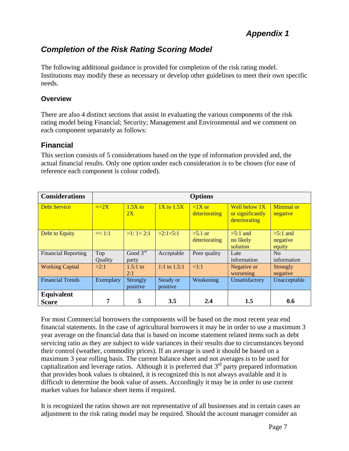## *Completion of the Risk Rating Scoring Model*

The following additional guidance is provided for completion of the risk rating model. Institutions may modify these as necessary or develop other guidelines to meet their own specific needs.

#### **Overview**

There are also 4 distinct sections that assist in evaluating the various components of the risk rating model being Financial; Security; Management and Environmental and we comment on each component separately as follows:

## **Financial**

This section consists of 5 considerations based on the type of information provided and, the actual financial results. Only one option under each consideration is to be chosen (for ease of reference each component is colour coded).

| <b>Considerations</b>      | <b>Options</b> |                               |                       |                            |                                                    |                                  |  |
|----------------------------|----------------|-------------------------------|-----------------------|----------------------------|----------------------------------------------------|----------------------------------|--|
| <b>Debt Service</b>        | $\equiv >2X$   | $1.5X$ to<br>2X               | $1X$ to $1.5X$        | $< 1X$ or<br>deteriorating | Well below 1X<br>or significantly<br>deteriorating | <b>Minimal</b> or<br>negative    |  |
| Debt to Equity             | $=< 1:1$       | >1:1<2:1                      | >2:1<5:1              | $>5.1$ or<br>deteriorating | $>5:1$ and<br>no likely<br>solution                | $>5:1$ and<br>negative<br>equity |  |
| <b>Financial Reporting</b> | Top<br>Ouality | Good $3^{\text{rd}}$<br>party | Acceptable            | Poor quality               | Late<br>information                                | No<br>information                |  |
| <b>Working Capital</b>     | >2:1           | $1.5:1$ to<br>2:1             | 1:1 to $1.5:1$        | <1:1                       | Negative or<br>worsening                           | <b>Strongly</b><br>negative      |  |
| <b>Financial Trends</b>    | Exemplary      | Strongly<br>positive          | Steady or<br>positive | Weakening                  | Unsatisfactory                                     | Unacceptable                     |  |
| Equivalent<br><b>Score</b> | 7              | 5                             | 3.5                   | 2.4                        | $1.5\,$                                            | 0.6                              |  |

For most Commercial borrowers the components will be based on the most recent year end financial statements. In the case of agricultural borrowers it may be in order to use a maximum 3 year average on the financial data that is based on income statement related items such as debt servicing ratio as they are subject to wide variances in their results due to circumstances beyond their control (weather, commodity prices). If an average is used it should be based on a maximum 3 year rolling basis. The current balance sheet and not averages is to be used for capitalization and leverage ratios. Although it is preferred that  $3<sup>rd</sup>$  party prepared information that provides book values is obtained, it is recognized this is not always available and it is difficult to determine the book value of assets. Accordingly it may be in order to use current market values for balance sheet items if required.

It is recognized the ratios shown are not representative of all businesses and in certain cases an adjustment to the risk rating model may be required. Should the account manager consider an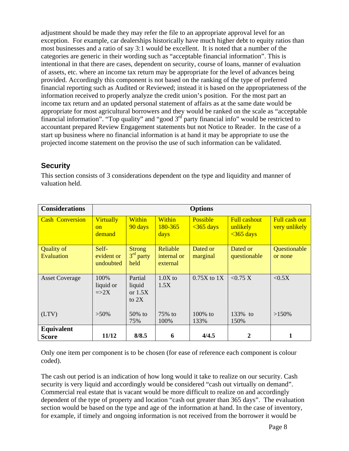adjustment should be made they may refer the file to an appropriate approval level for an exception. For example, car dealerships historically have much higher debt to equity ratios than most businesses and a ratio of say 3:1 would be excellent. It is noted that a number of the categories are generic in their wording such as "acceptable financial information". This is intentional in that there are cases, dependent on security, course of loans, manner of evaluation of assets, etc. where an income tax return may be appropriate for the level of advances being provided. Accordingly this component is not based on the ranking of the type of preferred financial reporting such as Audited or Reviewed; instead it is based on the appropriateness of the information received to properly analyze the credit union's position. For the most part an income tax return and an updated personal statement of affairs as at the same date would be appropriate for most agricultural borrowers and they would be ranked on the scale as "acceptable financial information". "Top quality" and "good  $3<sup>rd</sup>$  party financial info" would be restricted to accountant prepared Review Engagement statements but not Notice to Reader. In the case of a start up business where no financial information is at hand it may be appropriate to use the projected income statement on the proviso the use of such information can be validated.

## **Security**

This section consists of 3 considerations dependent on the type and liquidity and manner of valuation held.

| <b>Considerations</b>                  | <b>Options</b>                         |                                           |                                     |                                |                                                         |                                |  |
|----------------------------------------|----------------------------------------|-------------------------------------------|-------------------------------------|--------------------------------|---------------------------------------------------------|--------------------------------|--|
| <b>Cash Conversion</b>                 | <b>Virtually</b><br>$\alpha$<br>demand | Within<br>90 days                         | Within<br><u>180-365</u><br>days    | <b>Possible</b><br>$<365$ days | <b>Full cashout</b><br>unlikely<br>$\frac{1}{365}$ days | Full cash out<br>very unlikely |  |
| <b>Quality of</b><br><b>Evaluation</b> | Self-<br>evident or<br>undoubted       | <b>Strong</b><br>$3rd$ party<br>held      | Reliable<br>internal or<br>external | Dated or<br>marginal           | Dated or<br>questionable                                | Questionable<br>or none        |  |
| <b>Asset Coverage</b>                  | 100%<br>liquid or<br>$\Rightarrow$ 2X  | Partial<br>liquid<br>or $1.5X$<br>to $2X$ | $1.0X$ to<br>1.5X                   | $0.75X$ to $1X$                | < 0.75 X                                                | < 0.5X                         |  |
| (LTV)                                  | $>50\%$                                | $50\%$ to<br>75%                          | 75% to<br>100%                      | $100\%$ to<br>133%             | 133% to<br>150%                                         | $>150\%$                       |  |
| <b>Equivalent</b>                      |                                        |                                           |                                     |                                |                                                         |                                |  |
| Score                                  | 11/12                                  | 8/8.5                                     | 6                                   | 4/4.5                          | 2                                                       | 1                              |  |

Only one item per component is to be chosen (for ease of reference each component is colour coded).

The cash out period is an indication of how long would it take to realize on our security. Cash security is very liquid and accordingly would be considered "cash out virtually on demand". Commercial real estate that is vacant would be more difficult to realize on and accordingly dependent of the type of property and location "cash out greater than 365 days". The evaluation section would be based on the type and age of the information at hand. In the case of inventory, for example, if timely and ongoing information is not received from the borrower it would be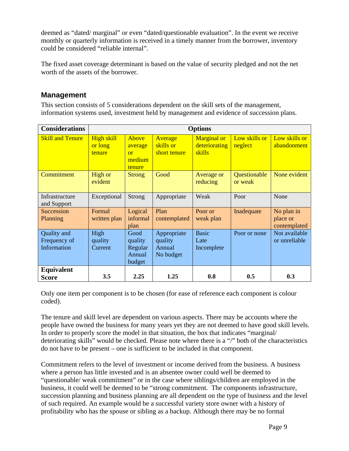deemed as "dated/ marginal" or even "dated/questionable evaluation". In the event we receive monthly or quarterly information is received in a timely manner from the borrower, inventory could be considered "reliable internal".

The fixed asset coverage determinant is based on the value of security pledged and not the net worth of the assets of the borrower.

### **Management**

This section consists of 5 considerations dependent on the skill sets of the management, information systems used, investment held by management and evidence of succession plans.

| <b>Considerations</b>                      | <b>Options</b>                  |                                                |                                               |                                               |                          |                                        |  |
|--------------------------------------------|---------------------------------|------------------------------------------------|-----------------------------------------------|-----------------------------------------------|--------------------------|----------------------------------------|--|
| <b>Skill and Tenure</b>                    | High skill<br>or long<br>tenure | Above<br>average<br>or<br>medium<br>tenure     | Average<br>skills or<br>short tenure          | <b>Marginal or</b><br>deteriorating<br>skills | Low skills or<br>neglect | Low skills or<br>abandonment           |  |
| Commitment                                 | High or<br>evident              | <b>Strong</b>                                  | Good                                          | Average or<br>reducing                        | Questionable<br>or weak  | None evident                           |  |
| Infrastructure<br>and Support              | Exceptional                     | <b>Strong</b>                                  | Appropriate                                   | Weak                                          | Poor                     | None                                   |  |
| Succession<br>Planning                     | Formal<br>written plan          | Logical<br>informal<br>plan                    | Plan<br>contemplated                          | Poor or<br>weak plan                          | Inadequate               | No plan in<br>place or<br>contemplated |  |
| Quality and<br>Frequency of<br>Information | High<br>quality<br>Current      | Good<br>quality<br>Regular<br>Annual<br>budget | Appropriate<br>quality<br>Annual<br>No budget | <b>Basic</b><br>Late<br>Incomplete            | Poor or none             | Not available<br>or unreliable         |  |
| Equivalent<br><b>Score</b>                 | 3.5                             | 2.25                                           | 1.25                                          | 0.8                                           | 0.5                      | 0.3                                    |  |

Only one item per component is to be chosen (for ease of reference each component is colour coded).

The tenure and skill level are dependent on various aspects. There may be accounts where the people have owned the business for many years yet they are not deemed to have good skill levels. In order to properly score the model in that situation, the box that indicates "marginal/ deteriorating skills" would be checked. Please note where there is a "/" both of the characteristics do not have to be present – one is sufficient to be included in that component.

Commitment refers to the level of investment or income derived from the business. A business where a person has little invested and is an absentee owner could well be deemed to "questionable/ weak commitment" or in the case where siblings/children are employed in the business, it could well be deemed to be "strong commitment. The components infrastructure, succession planning and business planning are all dependent on the type of business and the level of such required. An example would be a successful variety store owner with a history of profitability who has the spouse or sibling as a backup. Although there may be no formal